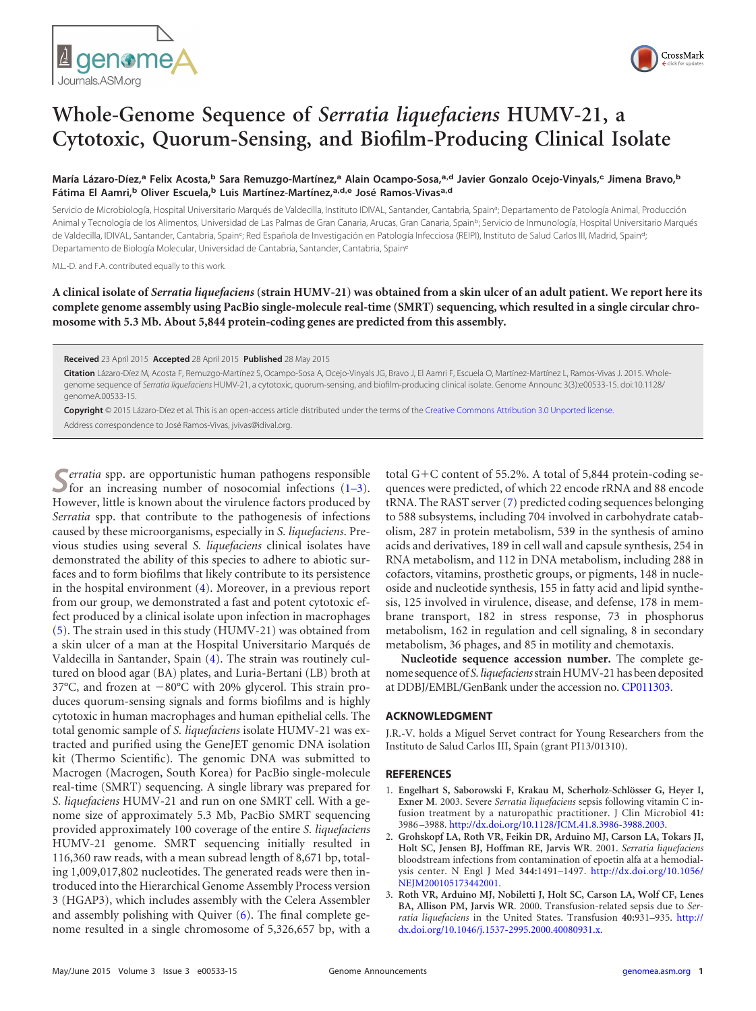



## **Whole-Genome Sequence of** *Serratia liquefaciens* **HUMV-21, a Cytotoxic, Quorum-Sensing, and Biofilm-Producing Clinical Isolate**

**María Lázaro-Díez,<sup>a</sup> Felix Acosta,<sup>b</sup> Sara Remuzgo-Martínez,<sup>a</sup> Alain Ocampo-Sosa,a,d Javier Gonzalo Ocejo-Vinyals,<sup>c</sup> Jimena Bravo,<sup>b</sup> Fátima El Aamri,<sup>b</sup> Oliver Escuela,<sup>b</sup> Luis Martínez-Martínez,a,d,e José Ramos-Vivasa,d**

Servicio de Microbiología, Hospital Universitario Marqués de Valdecilla, Instituto IDIVAL, Santander, Cantabria, Spain<sup>a</sup>; Departamento de Patología Animal, Producción Animal y Tecnología de los Alimentos, Universidad de Las Palmas de Gran Canaria, Arucas, Gran Canaria, Spain<sup>b</sup>; Servicio de Inmunología, Hospital Universitario Marqués de Valdecilla, IDIVAL, Santander, Cantabria, Spain<sup>c</sup>; Red Española de Investigación en Patología Infecciosa (REIPI), Instituto de Salud Carlos III, Madrid, Spain<sup>d</sup>; Departamento de Biología Molecular, Universidad de Cantabria, Santander, Cantabria, Spaine

M.L.-D. and F.A. contributed equally to this work.

**A clinical isolate of** *Serratia liquefaciens* **(strain HUMV-21) was obtained from a skin ulcer of an adult patient. We report here its complete genome assembly using PacBio single-molecule real-time (SMRT) sequencing, which resulted in a single circular chromosome with 5.3 Mb. About 5,844 protein-coding genes are predicted from this assembly.**

**Received** 23 April 2015 **Accepted** 28 April 2015 **Published** 28 May 2015

**Citation** Lázaro-Díez M, Acosta F, Remuzgo-Martínez S, Ocampo-Sosa A, Ocejo-Vinyals JG, Bravo J, El Aamri F, Escuela O, Martínez-Martínez L, Ramos-Vivas J. 2015. Wholegenome sequence of *Serratia liquefaciens* HUMV-21, a cytotoxic, quorum-sensing, and biofilm-producing clinical isolate. Genome Announc 3(3):e00533-15. doi:10.1128/ genomeA.00533-15.

**Copyright** © 2015 Lázaro-Díez et al. This is an open-access article distributed under the terms of the Creative Commons Attribution 3.0 Unported license.

Address correspondence to José Ramos-Vivas, jvivas@idival.org.

**S***erratia* spp. are opportunistic human pathogens responsible<br>for an increasing number of nosocomial infections [\(1](#page-0-0)[–](#page-0-1)[3\)](#page-0-2). However, little is known about the virulence factors produced by *Serratia* spp. that contribute to the pathogenesis of infections caused by these microorganisms, especially in *S. liquefaciens*. Previous studies using several *S. liquefaciens* clinical isolates have demonstrated the ability of this species to adhere to abiotic surfaces and to form biofilms that likely contribute to its persistence in the hospital environment [\(4\)](#page-1-0). Moreover, in a previous report from our group, we demonstrated a fast and potent cytotoxic effect produced by a clinical isolate upon infection in macrophages [\(5\)](#page-1-1). The strain used in this study (HUMV-21) was obtained from a skin ulcer of a man at the Hospital Universitario Marqués de Valdecilla in Santander, Spain [\(4\)](#page-1-0). The strain was routinely cultured on blood agar (BA) plates, and Luria-Bertani (LB) broth at 37°C, and frozen at -80°C with 20% glycerol. This strain produces quorum-sensing signals and forms biofilms and is highly cytotoxic in human macrophages and human epithelial cells. The total genomic sample of *S. liquefaciens* isolate HUMV-21 was extracted and purified using the GeneJET genomic DNA isolation kit (Thermo Scientific). The genomic DNA was submitted to Macrogen (Macrogen, South Korea) for PacBio single-molecule real-time (SMRT) sequencing. A single library was prepared for *S. liquefaciens* HUMV-21 and run on one SMRT cell. With a genome size of approximately 5.3 Mb, PacBio SMRT sequencing provided approximately 100 coverage of the entire *S. liquefaciens* HUMV-21 genome. SMRT sequencing initially resulted in 116,360 raw reads, with a mean subread length of 8,671 bp, totaling 1,009,017,802 nucleotides. The generated reads were then introduced into the Hierarchical Genome Assembly Process version 3 (HGAP3), which includes assembly with the Celera Assembler and assembly polishing with Quiver  $(6)$ . The final complete genome resulted in a single chromosome of 5,326,657 bp, with a

total  $G + C$  content of 55.2%. A total of 5,844 protein-coding sequences were predicted, of which 22 encode rRNA and 88 encode tRNA. The RAST server [\(7\)](#page-1-3) predicted coding sequences belonging to 588 subsystems, including 704 involved in carbohydrate catabolism, 287 in protein metabolism, 539 in the synthesis of amino acids and derivatives, 189 in cell wall and capsule synthesis, 254 in RNA metabolism, and 112 in DNA metabolism, including 288 in cofactors, vitamins, prosthetic groups, or pigments, 148 in nucleoside and nucleotide synthesis, 155 in fatty acid and lipid synthesis, 125 involved in virulence, disease, and defense, 178 in membrane transport, 182 in stress response, 73 in phosphorus metabolism, 162 in regulation and cell signaling, 8 in secondary metabolism, 36 phages, and 85 in motility and chemotaxis.

**Nucleotide sequence accession number.** The complete genome sequence of *S. liquefaciens*strain HUMV-21 has been deposited at DDBJ/EMBL/GenBank under the accession no. CP011303.

## **ACKNOWLEDGMENT**

J.R.-V. holds a Miguel Servet contract for Young Researchers from the Instituto de Salud Carlos III, Spain (grant PI13/01310).

## <span id="page-0-0"></span>**REFERENCES**

- 1. **Engelhart S, Saborowski F, Krakau M, Scherholz-Schlösser G, Heyer I, Exner M**. 2003. Severe *Serratia liquefaciens* sepsis following vitamin C infusion treatment by a naturopathic practitioner. J Clin Microbiol **41:** 3986 –3988. http://dx.doi.org/10.1128/JCM.41.8.3986-3988.2003.
- <span id="page-0-1"></span>2. **Grohskopf LA, Roth VR, Feikin DR, Arduino MJ, Carson LA, Tokars JI, Holt SC, Jensen BJ, Hoffman RE, Jarvis WR**. 2001. *Serratia liquefaciens* bloodstream infections from contamination of epoetin alfa at a hemodialysis center. N Engl J Med **344:**1491–1497. http://dx.doi.org/10.1056/ NEJM200105173442001.
- <span id="page-0-2"></span>3. **Roth VR, Arduino MJ, Nobiletti J, Holt SC, Carson LA, Wolf CF, Lenes BA, Allison PM, Jarvis WR**. 2000. Transfusion-related sepsis due to *Serratia liquefaciens* in the United States. Transfusion **40:**931–935. http:// dx.doi.org/10.1046/j.1537-2995.2000.40080931.x.